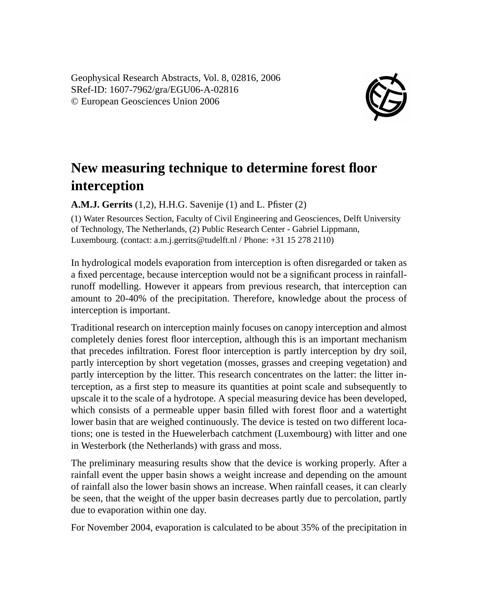Geophysical Research Abstracts, Vol. 8, 02816, 2006 SRef-ID: 1607-7962/gra/EGU06-A-02816 © European Geosciences Union 2006



## **New measuring technique to determine forest floor interception**

**A.M.J. Gerrits** (1,2), H.H.G. Savenije (1) and L. Pfister (2)

(1) Water Resources Section, Faculty of Civil Engineering and Geosciences, Delft University of Technology, The Netherlands, (2) Public Research Center - Gabriel Lippmann, Luxembourg. (contact: a.m.j.gerrits@tudelft.nl / Phone: +31 15 278 2110)

In hydrological models evaporation from interception is often disregarded or taken as a fixed percentage, because interception would not be a significant process in rainfallrunoff modelling. However it appears from previous research, that interception can amount to 20-40% of the precipitation. Therefore, knowledge about the process of interception is important.

Traditional research on interception mainly focuses on canopy interception and almost completely denies forest floor interception, although this is an important mechanism that precedes infiltration. Forest floor interception is partly interception by dry soil, partly interception by short vegetation (mosses, grasses and creeping vegetation) and partly interception by the litter. This research concentrates on the latter: the litter interception, as a first step to measure its quantities at point scale and subsequently to upscale it to the scale of a hydrotope. A special measuring device has been developed, which consists of a permeable upper basin filled with forest floor and a watertight lower basin that are weighed continuously. The device is tested on two different locations; one is tested in the Huewelerbach catchment (Luxembourg) with litter and one in Westerbork (the Netherlands) with grass and moss.

The preliminary measuring results show that the device is working properly. After a rainfall event the upper basin shows a weight increase and depending on the amount of rainfall also the lower basin shows an increase. When rainfall ceases, it can clearly be seen, that the weight of the upper basin decreases partly due to percolation, partly due to evaporation within one day.

For November 2004, evaporation is calculated to be about 35% of the precipitation in